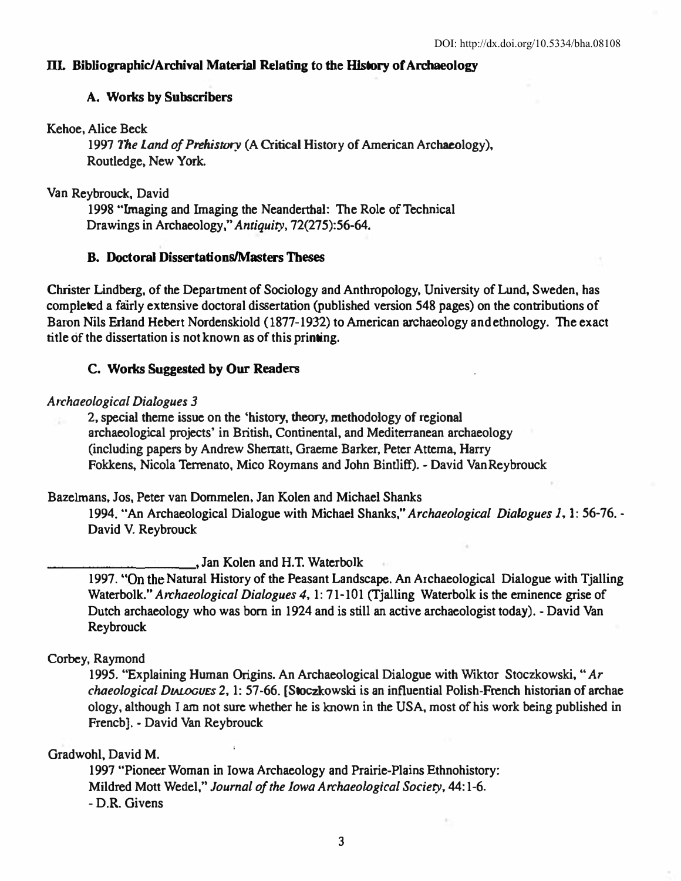# llL Bibliographic/Archival Material Relating to Ibe HIstory or Archaeology

# A. Works by Subscribers

Kehoe. Alice Beck

1997 The Land of Prehistory (A Critical History of American Archaeology), Routiedge, New York.

Van Reybrouck, David

1998 "lmaging and Imaging the Neanderthal: The Role of Technical Drawings in Archaeology," Antiquity, 72(275):56-64.

# B. Doctoral Dissertations/Masters Theses

Christer Lindberg, of the Department of Sociology and Anthropology, University of Lund, Sweden, has completed a fairly extensive doctoral dissertation (published version 548 pages) on the contributions of Baron Nils Erland Hebert Nordenskiold (1877-1932) to American archaeology and ethnology. The exact title of the dissertation is not known as of this printing.

# C. Works Suggested by Our Readers

### Archaeological Dialogues 3

2, special theme issue on the 'history, theory, methodology of regional archaeological projects' in British. Continental, and Mediterranean archaeology (including papers by Andrew Sherratt, Graeme Barker, Peter Attema, Harry Fokkens, Nicola Terrenato, Mico Roymans and John Bintliff). - David Van Reybrouck

Bazelmans, Jos. Peter van Dommelen. Jan Kolen and Michael Shanks

1994. "An Archaeological Dialogue with Michael Shanks," Archaeological Dialogues I, I: 56-76. - David V. Reybrouck

..., Jan Kolen and H.T. Waterbolk

1997. "On the Natural History of the Peasant Landscape. An Archaeological Dialogue with Tjalling Waterbolk." Archaeological Dialogues 4, 1: 71-101 (Tialling Waterbolk is the eminence grise of Dutch archaeology who was born in 1924 and is still an active archaeologist today). - David Van Reybrouck

# Corbey, Raymond

1995. "Explaining Human Origins. An Archaeological Dialogue with Wiktcr Stoczkowski, " Ar chaeological DIALOGUES 2, 1: 57-66. [Stoczkowski is an influential Polish-French historian of archae ology, although I am not sure whether he is known in the USA, most of his work being published in Frencb]. - David Van Reybrouck

# Gradwohl, David M.

1997 "Pioneer Woman in Iowa Archaeology and Prairie-Plains Ethnohistory: Mildred Mott Wedel," Journal of the Iowa Archaeological Society, 44:1-6. - D.R. Givens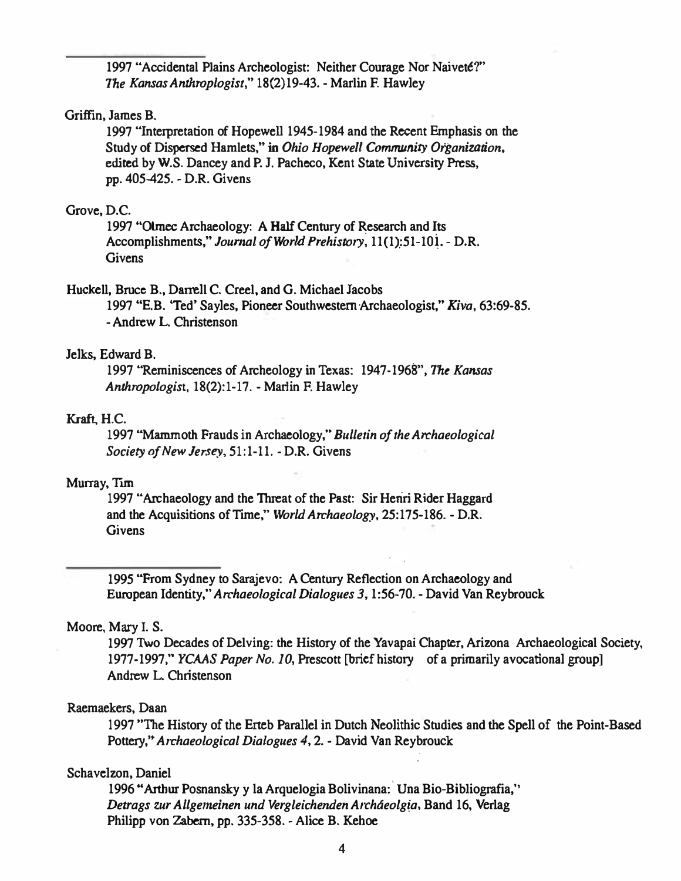1997 "Accidental Plains Archeologist: Neither Courage Nor Naiveté?" The Kansas Anthroplogist," 18(2)19-43. - Marlin F. Hawley

## Griffin, James B.

1997 "Interpretation of Hopewell 1945-1984 and the Recent Emphasis on the Study of Dispersed Hamlets," in Ohio Hopewell Community Organization, edited by W.S. Dancey and P.J. Pacheco, Kent State University Press, pp. 405-425. - D.R. Givens

### Grove, D.C.

1997 "Olmec Archaeology: A Half Century of Research and Its Accomplishments," Journal of World Prehistory, 11(1):51-101. - D.R. **Givens** 

## Huckell, Bruce B., Darrell C. Creel, and G. Michael Jacobs

1997 "E.B. 'Ted' Sayles, Pioneer Southwestern Archaeologist," Kiva, 63:69-85. - Andrew L. Christenson

### Jelks, Edward B.

1997 "Reminiscences of Archeology in Texas: 1947-1968", The Kansas Anthropologist, 18(2):1-17. - Marlin F. Hawley

#### Kraft, H.C.

1997 "Mammoth Frauds in Archaeology," Bulletin of the Archaeological Society of New Jersey, 51:1-11. - D.R. Givens

## Murray, Tim

1997 "Archaeology and the Threat of the Past: Sir Henri Rider Haggard and the Acquisitions of Time," World Archaeology, 25:175-186. - D.R. **Givens** 

1995 "From Sydney to Sarajevo: A Century Reflection on Archaeology and European Identity," Archaeological Dialogues 3, 1:56-70. - David Van Reybrouck

### Moore, Mary I. S.

1997 Two Decades of Delving: the History of the Yavapai Chapter, Arizona Archaeological Society, 1977-1997," YCAAS Paper No. 10, Prescott [brief history of a primarily avocational group] Andrew L. Christenson

### Raemaekers, Daan

1997 "The History of the Erteb Parallel in Dutch Neolithic Studies and the Spell of the Point-Based Pottery," Archaeological Dialogues 4, 2. - David Van Reybrouck

### Schavelzon, Daniel

1996 "Arthur Posnansky y la Arquelogia Bolivinana: Una Bio-Bibliografia," Detrags zur Allgemeinen und Vergleichenden Archáeolgia, Band 16, Verlag Philipp von Zabern, pp. 335-358. - Alice B. Kehoe